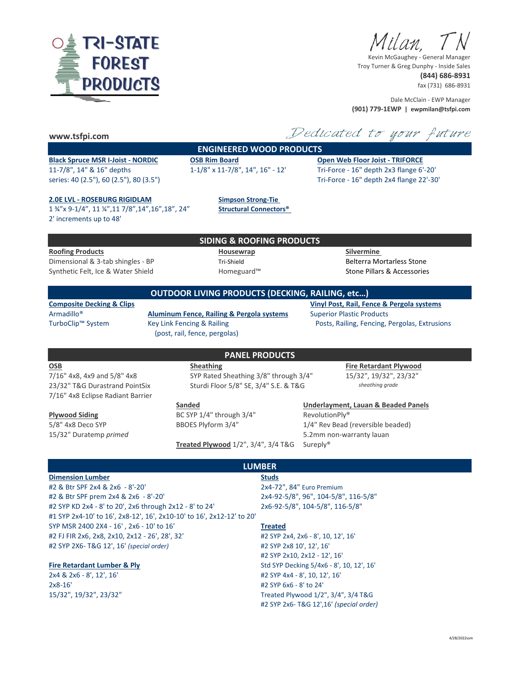

Ailan.

Kevin McGaughey - General Manager Troy Turner & Greg Dunphy - Inside Sales **(844) 686-8931**

fax (731) 686-8931

Dale McClain - EWP Manager **(901) 779-1EWP | ewpmilan@tsfpi.com**

### **www.tsfpi.com**

## **ENGINEERED WOOD PRODUCTS**

# **Black Spruce MSR I-Joist - NORDIC OSB Rim Board Open Web Floor Joist - TRIFORCE** 11-7/8", 14" & 16" depths 1-1/8" x 11-7/8", 14", 16" - 12' Tri-Force - 16" depth 2x3 flange 6'-20' series: 40 (2.5"), 60 (2.5"), 80 (3.5") Tri-Force - 16" depth 2x4 flange 22'-30'

Dedicated to your future

### **2.0E LVL - ROSEBURG RIGIDLAM Simpson Strong-Tie**

1 ¾"x 9-1/4", 11 ¼",11 7/8",14",16",18", 24" **Structural Connectors®**  2' increments up to 48'

### **SIDING & ROOFING PRODUCTS**

**OUTDOOR LIVING PRODUCTS (DECKING, RAILING, etc…)**

**Roofing Products Housewrap Silvermine**  Dimensional & 3-tab shingles - BP Tri-Shield Belterra Mortarless Stone Synthetic Felt, Ice & Water Shield **Homeguard™** Homeguard™ Stone Pillars & Accessories

**Composite Decking & Clips Vinyl Post, Rail, Fence & Pergola systems** 

Armadillo® **Aluminum Fence, Railing & Pergola systems** Superior Plastic Products TurboClip™ System Key Link Fencing & Railing Posts, Railing, Fencing, Pergolas, Extrusions (post, rail, fence, pergolas)

7/16" 4x8, 4x9 and 5/8" 4x8 SYP Rated Sheathing 3/8" through 3/4" 15/32", 19/32", 23/32" 23/32" T&G Durastrand PointSix Sturdi Floor 5/8" SE, 3/4" S.E. & T&G *sheathing grade* 7/16" 4x8 Eclipse Radiant Barrier

**Sanded Underlayment, Lauan & Beaded Panels Plywood Siding The State State State State State State State State State State State State State State State State State State State State State State State State State State State State State State State State State Stat** 

Treated Plywood 1/2", 3/4", 3/4 T&G Sureply®

**OSB Sheathing Fire Retardant Plywood**

5/8" 4x8 Deco SYP BBOES Plyform 3/4" 1/4" Rev Bead (reversible beaded) 15/32" Duratemp *primed* 5.2mm non-warranty lauan

### **Dimension Lumber Studs**

#2 & Btr SPF 2x4 & 2x6 - 8'-20' 2x4-72", 84" Euro Premium #2 & Btr SPF prem 2x4 & 2x6 - 8'-20' 2x4-92-5/8", 96", 104-5/8", 116-5/8" #2 SYP KD 2x4 - 8' to 20', 2x6 through 2x12 - 8' to 24' 2x6-92-5/8", 104-5/8", 116-5/8" #1 SYP 2x4-10' to 16', 2x8-12', 16', 2x10-10' to 16', 2x12-12' to 20' SYP MSR 2400 2X4 - 16' , 2x6 - 10' to 16' **Treated** #2 FJ FIR 2x6, 2x8, 2x10, 2x12 - 26', 28', 32' #2 SYP 2x4, 2x6 - 8', 10, 12', 16' #2 SYP 2X6- T&G 12', 16' *(special order)* #2 SYP 2x8 10', 12', 16'

2x8-16' #2 SYP 6x6 - 8' to 24'

# **LUMBER**

**PANEL PRODUCTS**

#2 SYP 2x10, 2x12 - 12', 16' **Fire Retardant Lumber & Ply** Std SYP Decking 5/4x6 - 8', 10, 12', 16' 2x4 & 2x6 - 8', 12', 16' #2 SYP 4x4 - 8', 10, 12', 16' 15/32", 19/32", 23/32" Treated Plywood 1/2", 3/4", 3/4 T&G #2 SYP 2x6- T&G 12',16' *(special order)*